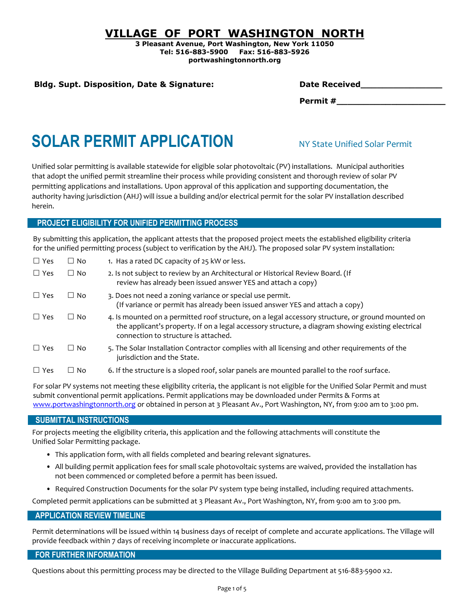### **VILLAGE OF PORT WASHINGTON NORTH**

**3 Pleasant Avenue, Port Washington, New York 11050 Tel: 516-883-5900 Fax: 516-883-5926 portwashingtonnorth.org**

### **Bldg. Supt. Disposition, Date & Signature:**

| <b>Date Received</b> |  |  |
|----------------------|--|--|
|                      |  |  |

**Permit #\_\_\_\_\_\_\_\_\_\_\_\_\_\_\_\_\_\_\_\_**

# **SOLAR PERMIT APPLICATION**

Unified solar permitting is available statewide for eligible solar photovoltaic (PV) installations. Municipal authorities that adopt the unified permit streamline their process while providing consistent and thorough review of solar PV permitting applications and installations. Upon approval of this application and supporting documentation, the authority having jurisdiction (AHJ) will issue a building and/or electrical permit for the solar PV installation described herein.

### **PROJECT ELIGIBILITY FOR UNIFIED PERMITTING PROCESS**

By submitting this application, the applicant attests that the proposed project meets the established eligibility criteria for the unified permitting process (subject to verification by the AHJ). The proposed solar PV system installation:

| $\Box$ Yes | $\Box$ No | 1. Has a rated DC capacity of 25 kW or less.                                                                                                                                                                                                    |
|------------|-----------|-------------------------------------------------------------------------------------------------------------------------------------------------------------------------------------------------------------------------------------------------|
| $\Box$ Yes | $\Box$ No | 2. Is not subject to review by an Architectural or Historical Review Board. (If<br>review has already been issued answer YES and attach a copy)                                                                                                 |
| $\Box$ Yes | $\Box$ No | 3. Does not need a zoning variance or special use permit.<br>(If variance or permit has already been issued answer YES and attach a copy)                                                                                                       |
| $\Box$ Yes | $\Box$ No | 4. Is mounted on a permitted roof structure, on a legal accessory structure, or ground mounted on<br>the applicant's property. If on a legal accessory structure, a diagram showing existing electrical<br>connection to structure is attached. |
| $\Box$ Yes | $\Box$ No | 5. The Solar Installation Contractor complies with all licensing and other requirements of the<br>jurisdiction and the State.                                                                                                                   |
| $\Box$ Yes | $\Box$ No | 6. If the structure is a sloped roof, solar panels are mounted parallel to the roof surface.                                                                                                                                                    |

For solar PV systems not meeting these eligibility criteria, the applicant is not eligible for the Unified Solar Permit and must submit conventional permit applications. Permit applications may be downloaded under Permits & Forms at [www.portwashingtonnorth.org](http://www.portwashingtonnorth.org/) or obtained in person at 3 Pleasant Av., Port Washington, NY, from 9:00 am to 3:00 pm.

### **SUBMITTAL INSTRUCTIONS**

For projects meeting the eligibility criteria, this application and the following attachments will constitute the Unified Solar Permitting package.

- This application form, with all fields completed and bearing relevant signatures.
- All building permit application fees for small scale photovoltaic systems are waived, provided the installation has not been commenced or completed before a permit has been issued.
- Required Construction Documents for the solar PV system type being installed, including required attachments.

Completed permit applications can be submitted at 3 Pleasant Av., Port Washington, NY, from 9:00 am to 3:00 pm.

### **APPLICATION REVIEW TIMELINE**

Permit determinations will be issued within 14 business days of receipt of complete and accurate applications. The Village will provide feedback within 7 days of receiving incomplete or inaccurate applications.

### **FOR FURTHER INFORMATION**

Questions about this permitting process may be directed to the Village Building Department at 516-883-5900 x2.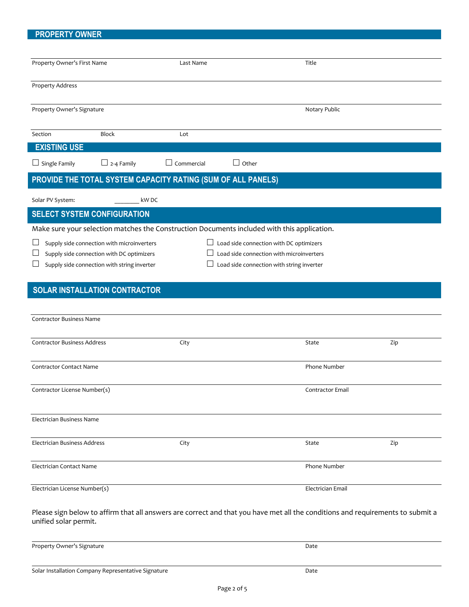### **PROPERTY OWNER**

| Property Owner's First Name                                                                                                    | Last Name                                | Title                                     |     |  |  |
|--------------------------------------------------------------------------------------------------------------------------------|------------------------------------------|-------------------------------------------|-----|--|--|
|                                                                                                                                |                                          |                                           |     |  |  |
| <b>Property Address</b>                                                                                                        |                                          |                                           |     |  |  |
| Property Owner's Signature                                                                                                     |                                          | Notary Public                             |     |  |  |
| Section<br><b>Block</b>                                                                                                        | Lot                                      |                                           |     |  |  |
| <b>EXISTING USE</b>                                                                                                            |                                          |                                           |     |  |  |
| $\Box$ Single Family<br>$\Box$ 2-4 Family                                                                                      | $\Box$ Commercial<br>$\Box$ Other        |                                           |     |  |  |
| PROVIDE THE TOTAL SYSTEM CAPACITY RATING (SUM OF ALL PANELS)                                                                   |                                          |                                           |     |  |  |
| Solar PV System:                                                                                                               | kW DC                                    |                                           |     |  |  |
| <b>SELECT SYSTEM CONFIGURATION</b>                                                                                             |                                          |                                           |     |  |  |
| Make sure your selection matches the Construction Documents included with this application.                                    |                                          |                                           |     |  |  |
| $\Box$ Load side connection with DC optimizers<br>Supply side connection with microinverters                                   |                                          |                                           |     |  |  |
| Supply side connection with DC optimizers                                                                                      | Load side connection with microinverters |                                           |     |  |  |
| Supply side connection with string inverter                                                                                    |                                          | Load side connection with string inverter |     |  |  |
| <b>SOLAR INSTALLATION CONTRACTOR</b>                                                                                           |                                          |                                           |     |  |  |
|                                                                                                                                |                                          |                                           |     |  |  |
| <b>Contractor Business Name</b>                                                                                                |                                          |                                           |     |  |  |
| <b>Contractor Business Address</b>                                                                                             | City                                     | State                                     | Zip |  |  |
|                                                                                                                                |                                          |                                           |     |  |  |
| <b>Contractor Contact Name</b>                                                                                                 |                                          | Phone Number                              |     |  |  |
|                                                                                                                                |                                          | Contractor Email                          |     |  |  |
| Contractor License Number(s)                                                                                                   |                                          |                                           |     |  |  |
|                                                                                                                                |                                          |                                           |     |  |  |
| Electrician Business Name                                                                                                      |                                          |                                           |     |  |  |
| Electrician Business Address                                                                                                   | City                                     | State                                     | Zip |  |  |
|                                                                                                                                |                                          |                                           |     |  |  |
| Electrician Contact Name                                                                                                       |                                          | Phone Number                              |     |  |  |
| Electrician License Number(s)                                                                                                  |                                          | Electrician Email                         |     |  |  |
| Please sign below to affirm that all answers are correct and that you have met all the conditions and requirements to submit a |                                          |                                           |     |  |  |

Property Owner's Signature Date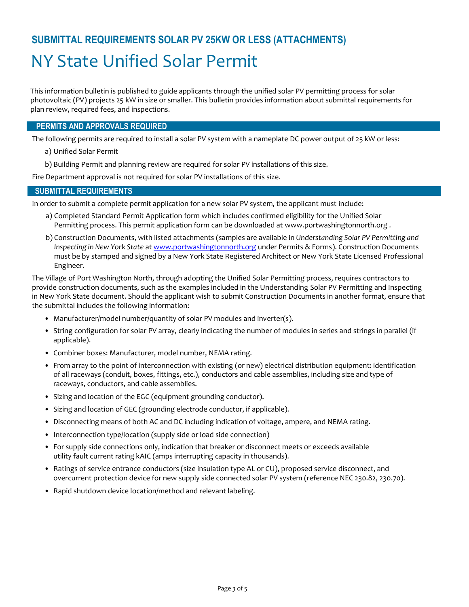## **SUBMITTAL REQUIREMENTS SOLAR PV 25KW OR LESS (ATTACHMENTS)** NY State Unified Solar Permit

This information bulletin is published to guide applicants through the unified solar PV permitting process for solar photovoltaic (PV) projects 25 kW in size or smaller. This bulletin provides information about submittal requirements for plan review, required fees, and inspections.

### **PERMITS AND APPROVALS REQUIRED**

The following permits are required to install a solar PV system with a nameplate DC power output of 25 kW or less:

- a) Unified Solar Permit
- b) Building Permit and planning review are required for solar PV installations of this size.

Fire Department approval is not required for solar PV installations of this size.

### **SUBMITTAL REQUIREMENTS**

In order to submit a complete permit application for a new solar PV system, the applicant must include:

- a) Completed Standard Permit Application form which includes confirmed eligibility for the Unified Solar Permitting process. This permit application form can be downloaded at www.portwashingtonnorth.org .
- b) Construction Documents, with listed attachments (samples are available in *Understanding Solar PV Permitting and Inspecting in New York State* a[t www.portwashingtonnorth.org](http://www.portwashingtonnorth.org/) under Permits & Forms). Construction Documents must be by stamped and signed by a New York State Registered Architect or New York State Licensed Professional Engineer.

The Village of Port Washington North, through adopting the Unified Solar Permitting process, requires contractors to provide construction documents, such as the examples included in the Understanding Solar PV Permitting and Inspecting in New York State document. Should the applicant wish to submit Construction Documents in another format, ensure that the submittal includes the following information:

- Manufacturer/model number/quantity of solar PV modules and inverter(s).
- String configuration for solar PV array, clearly indicating the number of modules in series and strings in parallel (if applicable).
- Combiner boxes: Manufacturer, model number, NEMA rating.
- From array to the point of interconnection with existing (or new) electrical distribution equipment: identification of all raceways (conduit, boxes, fittings, etc.), conductors and cable assemblies, including size and type of raceways, conductors, and cable assemblies.
- Sizing and location of the EGC (equipment grounding conductor).
- Sizing and location of GEC (grounding electrode conductor, if applicable).
- Disconnecting means of both AC and DC including indication of voltage, ampere, and NEMA rating.
- Interconnection type/location (supply side or load side connection)
- For supply side connections only, indication that breaker or disconnect meets or exceeds available utility fault current rating kAIC (amps interrupting capacity in thousands).
- Ratings of service entrance conductors (size insulation type AL or CU), proposed service disconnect, and overcurrent protection device for new supply side connected solar PV system (reference NEC 230.82, 230.70).
- Rapid shutdown device location/method and relevant labeling.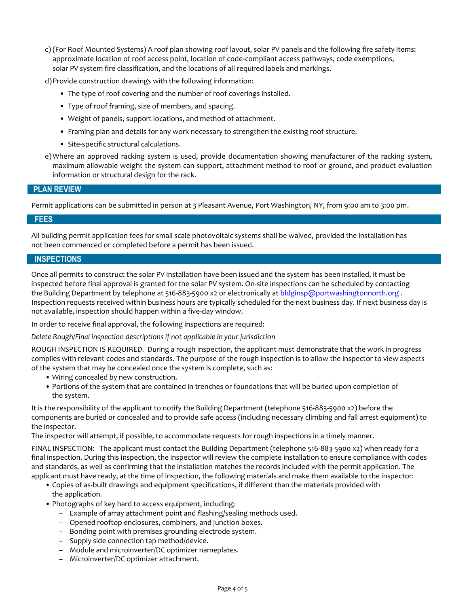c) (For Roof Mounted Systems) A roof plan showing roof layout, solar PV panels and the following fire safety items: approximate location of roof access point, location of code-compliant access pathways, code exemptions, solar PV system fire classification, and the locations of all required labels and markings.

d)Provide construction drawings with the following information:

- The type of roof covering and the number of roof coverings installed.
- Type of roof framing, size of members, and spacing.
- Weight of panels, support locations, and method of attachment.
- Framing plan and details for any work necessary to strengthen the existing roof structure.
- Site-specific structural calculations.
- e)Where an approved racking system is used, provide documentation showing manufacturer of the racking system, maximum allowable weight the system can support, attachment method to roof or ground, and product evaluation information or structural design for the rack.

### **PLAN REVIEW**

Permit applications can be submitted in person at 3 Pleasant Avenue, Port Washington, NY, from 9:00 am to 3:00 pm.

### **FEES**

All building permit application fees for small scale photovoltaic systems shall be waived, provided the installation has not been commenced or completed before a permit has been issued.

### **INSPECTIONS**

Once all permits to construct the solar PV installation have been issued and the system has been installed, it must be inspected before final approval is granted for the solar PV system. On-site inspections can be scheduled by contacting the Building Department by telephone at 516-883-5900 x2 or electronically at [bldginsp@portwashingtonnorth.org](mailto:bldginsp@portwashingtonnorth.org). Inspection requests received within business hours are typically scheduled for the next business day. If next business day is not available, inspection should happen within a five-day window.

In order to receive final approval, the following inspections are required:

*Delete Rough/Final inspection descriptions if not applicable in your jurisdiction*

ROUGH INSPECTION IS REQUIRED. During a rough inspection, the applicant must demonstrate that the work in progress complies with relevant codes and standards. The purpose of the rough inspection is to allow the inspector to view aspects of the system that may be concealed once the system is complete, such as:

- Wiring concealed by new construction.
- Portions of the system that are contained in trenches or foundations that will be buried upon completion of the system.

It is the responsibility of the applicant to notify the Building Department (telephone 516-883-5900 x2) before the components are buried or concealed and to provide safe access (including necessary climbing and fall arrest equipment) to the inspector.

The inspector will attempt, if possible, to accommodate requests for rough inspections in a timely manner.

FINAL INSPECTION: The applicant must contact the Building Department (telephone 516-883-5900 x2) when ready for a final inspection. During this inspection, the inspector will review the complete installation to ensure compliance with codes and standards, as well as confirming that the installation matches the records included with the permit application. The applicant must have ready, at the time of inspection, the following materials and make them available to the inspector:

- Copies of as-built drawings and equipment specifications, if different than the materials provided with the application.
- Photographs of key hard to access equipment, including;
	- Example of array attachment point and flashing/sealing methods used.
	- Opened rooftop enclosures, combiners, and junction boxes.
	- Bonding point with premises grounding electrode system.
	- Supply side connection tap method/device.
	- Module and microinverter/DC optimizer nameplates.
	- Microinverter/DC optimizer attachment.